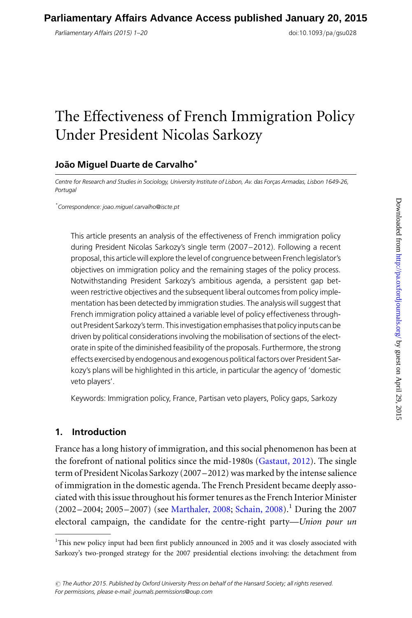Parliamentary Affairs (2015) 1–20 doi:10.1093/pa/gsu028

# The Effectiveness of French Immigration Policy Under President Nicolas Sarkozy

# João Miguel Duarte de Carvalho<sup>\*</sup>

Centre for Research and Studies in Sociology, University Institute of Lisbon, Av. das Forcas Armadas, Lisbon 1649-26, Portugal

\* Correspondence: joao.miguel.carvalho@iscte.pt

This article presents an analysis of the effectiveness of French immigration policy during President Nicolas Sarkozy's single term (2007–2012). Following a recent proposal, this article will explore the level of congruence between French legislator's objectives on immigration policy and the remaining stages of the policy process. Notwithstanding President Sarkozy's ambitious agenda, a persistent gap between restrictive objectives and the subsequent liberal outcomes from policy implementation has been detected by immigration studies. The analysis will suggest that French immigration policy attained a variable level of policy effectiveness throughout President Sarkozy's term. This investigation emphasises that policy inputs can be driven by political considerations involving the mobilisation of sections of the electorate in spite of the diminished feasibility of the proposals. Furthermore, the strong effects exercised by endogenous and exogenous political factors over President Sarkozy's plans will be highlighted in this article, in particular the agency of 'domestic veto players'.

Keywords: Immigration policy, France, Partisan veto players, Policy gaps, Sarkozy

## 1. Introduction

France has a long history of immigration, and this social phenomenon has been at the forefront of national politics since the mid-1980s [\(Gastaut, 2012](#page-17-0)). The single term of President Nicolas Sarkozy (2007–2012) was marked by the intense salience of immigration in the domestic agenda. The French President became deeply associated with this issue throughout his former tenures as the French Interior Minister (2002–2004; 2005–2007) (see [Marthaler, 2008;](#page-18-0) [Schain, 2008](#page-19-0)).1 During the 2007 electoral campaign, the candidate for the centre-right party—Union pour un

<sup>&</sup>lt;sup>1</sup>This new policy input had been first publicly announced in 2005 and it was closely associated with Sarkozy's two-pronged strategy for the 2007 presidential elections involving: the detachment from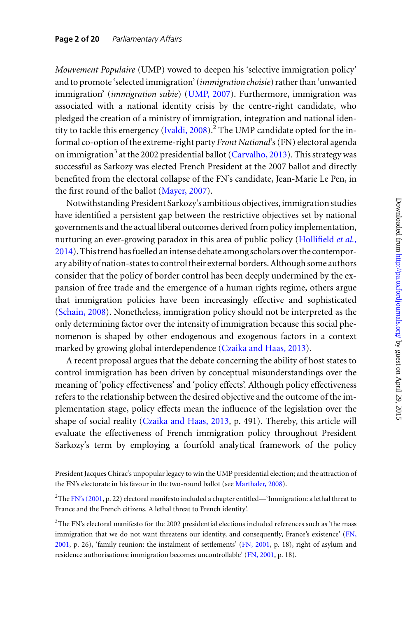Mouvement Populaire (UMP) vowed to deepen his 'selective immigration policy' and to promote 'selected immigration' (immigration choisie) rather than 'unwanted immigration' (*immigration subie*) ([UMP, 2007\)](#page-19-0). Furthermore, immigration was associated with a national identity crisis by the centre-right candidate, who pledged the creation of a ministry of immigration, integration and national iden-tity to tackle this emergency [\(Ivaldi, 2008\)](#page-18-0).<sup>2</sup> The UMP candidate opted for the informal co-option of the extreme-right party Front National's (FN) electoral agenda on immigration<sup>3</sup> at the 2002 presidential ballot ([Carvalho, 2013](#page-17-0)). This strategy was successful as Sarkozy was elected French President at the 2007 ballot and directly benefited from the electoral collapse of the FN's candidate, Jean-Marie Le Pen, in the first round of the ballot ([Mayer, 2007](#page-19-0)).

Notwithstanding President Sarkozy's ambitious objectives, immigration studies have identified a persistent gap between the restrictive objectives set by national governments and the actual liberal outcomes derived from policy implementation, nurturing an ever-growing paradox in this area of public policy ([Hollifield](#page-18-0) *et al.*, [2014](#page-18-0)). This trend has fuelled an intense debate among scholars over the contemporary ability of nation-states to control their external borders. Although some authors consider that the policy of border control has been deeply undermined by the expansion of free trade and the emergence of a human rights regime, others argue that immigration policies have been increasingly effective and sophisticated ([Schain, 2008\)](#page-19-0). Nonetheless, immigration policy should not be interpreted as the only determining factor over the intensity of immigration because this social phenomenon is shaped by other endogenous and exogenous factors in a context marked by growing global interdependence [\(Czaika and Haas, 2013\)](#page-17-0).

A recent proposal argues that the debate concerning the ability of host states to control immigration has been driven by conceptual misunderstandings over the meaning of 'policy effectiveness' and 'policy effects'. Although policy effectiveness refers to the relationship between the desired objective and the outcome of the implementation stage, policy effects mean the influence of the legislation over the shape of social reality [\(Czaika and Haas, 2013,](#page-17-0) p. 491). Thereby, this article will evaluate the effectiveness of French immigration policy throughout President Sarkozy's term by employing a fourfold analytical framework of the policy

President Jacques Chirac's unpopular legacy to win the UMP presidential election; and the attraction of the FN's electorate in his favour in the two-round ballot (see [Marthaler, 2008](#page-18-0)).

 $^{2}$ The [FN's \(2001](#page-17-0), p. 22) electoral manifesto included a chapter entitled—'Immigration: a lethal threat to France and the French citizens. A lethal threat to French identity'.

<sup>&</sup>lt;sup>3</sup>The FN's electoral manifesto for the 2002 presidential elections included references such as 'the mass immigration that we do not want threatens our identity, and consequently, France's existence' [\(FN,](#page-17-0) [2001](#page-17-0), p. 26), 'family reunion: the instalment of settlements' ([FN, 2001,](#page-17-0) p. 18), right of asylum and residence authorisations: immigration becomes uncontrollable' [\(FN, 2001,](#page-17-0) p. 18).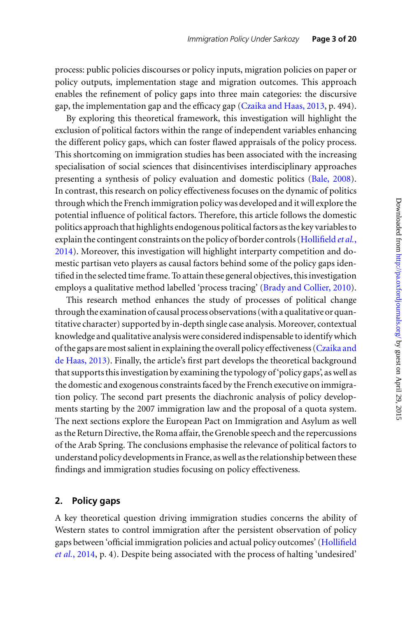process: public policies discourses or policy inputs, migration policies on paper or policy outputs, implementation stage and migration outcomes. This approach enables the refinement of policy gaps into three main categories: the discursive gap, the implementation gap and the efficacy gap [\(Czaika and Haas, 2013,](#page-17-0) p. 494).

By exploring this theoretical framework, this investigation will highlight the exclusion of political factors within the range of independent variables enhancing the different policy gaps, which can foster flawed appraisals of the policy process. This shortcoming on immigration studies has been associated with the increasing specialisation of social sciences that disincentivises interdisciplinary approaches presenting a synthesis of policy evaluation and domestic politics ([Bale, 2008\)](#page-16-0). In contrast, this research on policy effectiveness focuses on the dynamic of politics through which the French immigration policy was developed and it will explore the potential influence of political factors. Therefore, this article follows the domestic politics approach that highlights endogenous political factors as the key variables to explain the contingent constraints on the policy of border controls ([Hollifield](#page-18-0) *et al.*, [2014](#page-18-0)). Moreover, this investigation will highlight interparty competition and domestic partisan veto players as causal factors behind some of the policy gaps identified in the selected time frame. To attain these general objectives, this investigation employs a qualitative method labelled 'process tracing' ([Brady and Collier, 2010\)](#page-17-0).

This research method enhances the study of processes of political change through the examination of causal process observations (with a qualitative or quantitative character) supported by in-depth single case analysis. Moreover, contextual knowledge and qualitative analysis were considered indispensable to identify which of the gaps are most salient in explaining the overall policy effectiveness ([Czaika and](#page-17-0) [de Haas, 2013\)](#page-17-0). Finally, the article's first part develops the theoretical background that supports this investigation by examining the typology of 'policy gaps', as well as the domestic and exogenous constraints faced by the French executive on immigration policy. The second part presents the diachronic analysis of policy developments starting by the 2007 immigration law and the proposal of a quota system. The next sections explore the European Pact on Immigration and Asylum as well as the Return Directive, the Roma affair, the Grenoble speech and the repercussions of the Arab Spring. The conclusions emphasise the relevance of political factors to understand policy developments in France, as well as the relationship between these findings and immigration studies focusing on policy effectiveness.

### 2. Policy gaps

A key theoretical question driving immigration studies concerns the ability of Western states to control immigration after the persistent observation of policy gaps between 'official immigration policies and actual policy outcomes' [\(Hollifield](#page-18-0) et al.[, 2014](#page-18-0), p. 4). Despite being associated with the process of halting 'undesired'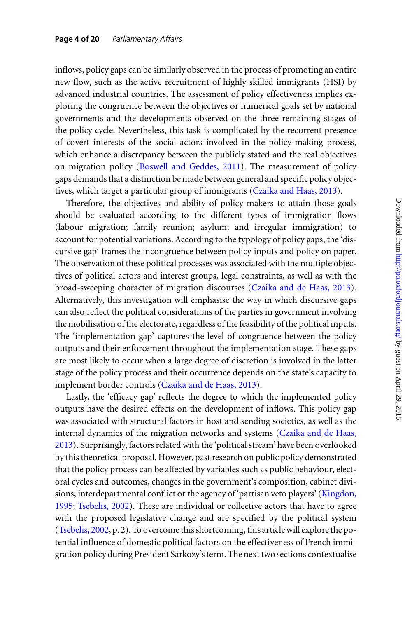inflows, policy gaps can be similarly observed in the process of promoting an entire new flow, such as the active recruitment of highly skilled immigrants (HSI) by advanced industrial countries. The assessment of policy effectiveness implies exploring the congruence between the objectives or numerical goals set by national governments and the developments observed on the three remaining stages of the policy cycle. Nevertheless, this task is complicated by the recurrent presence of covert interests of the social actors involved in the policy-making process, which enhance a discrepancy between the publicly stated and the real objectives on migration policy ([Boswell and Geddes, 2011\)](#page-17-0). The measurement of policy gaps demands that a distinction be made between general and specific policy objec-tives, which target a particular group of immigrants ([Czaika and Haas, 2013](#page-17-0)).

Therefore, the objectives and ability of policy-makers to attain those goals should be evaluated according to the different types of immigration flows (labour migration; family reunion; asylum; and irregular immigration) to account for potential variations. According to the typology of policy gaps, the 'discursive gap' frames the incongruence between policy inputs and policy on paper. The observation of these political processes was associated with the multiple objectives of political actors and interest groups, legal constraints, as well as with the broad-sweeping character of migration discourses [\(Czaika and de Haas, 2013\)](#page-17-0). Alternatively, this investigation will emphasise the way in which discursive gaps can also reflect the political considerations of the parties in government involving the mobilisation of the electorate, regardless of the feasibility of the political inputs. The 'implementation gap' captures the level of congruence between the policy outputs and their enforcement throughout the implementation stage. These gaps are most likely to occur when a large degree of discretion is involved in the latter stage of the policy process and their occurrence depends on the state's capacity to implement border controls [\(Czaika and de Haas, 2013](#page-17-0)).

Lastly, the 'efficacy gap' reflects the degree to which the implemented policy outputs have the desired effects on the development of inflows. This policy gap was associated with structural factors in host and sending societies, as well as the internal dynamics of the migration networks and systems [\(Czaika and de Haas,](#page-17-0) [2013](#page-17-0)). Surprisingly, factors related with the 'political stream' have been overlooked by this theoretical proposal. However, past research on public policy demonstrated that the policy process can be affected by variables such as public behaviour, electoral cycles and outcomes, changes in the government's composition, cabinet divi-sions, interdepartmental conflict or the agency of 'partisan veto players' ([Kingdon,](#page-18-0) [1995](#page-18-0); [Tsebelis, 2002\)](#page-19-0). These are individual or collective actors that have to agree with the proposed legislative change and are specified by the political system ([Tsebelis, 2002,](#page-19-0) p. 2). To overcome this shortcoming, this article will explore the potential influence of domestic political factors on the effectiveness of French immigration policy during President Sarkozy's term. The next two sections contextualise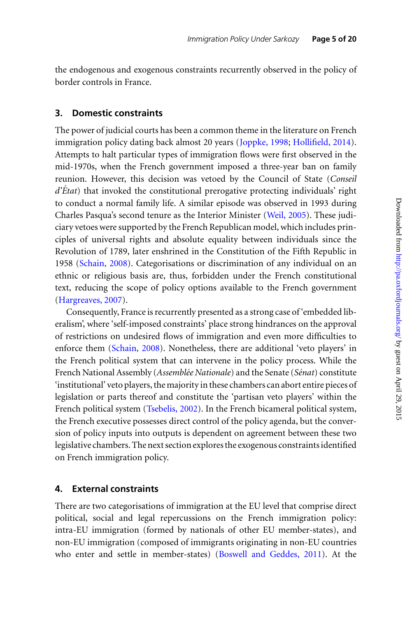the endogenous and exogenous constraints recurrently observed in the policy of border controls in France.

#### 3. Domestic constraints

The power of judicial courts has been a common theme in the literature on French immigration policy dating back almost 20 years [\(Joppke, 1998;](#page-18-0) [Hollifield, 2014\)](#page-18-0). Attempts to halt particular types of immigration flows were first observed in the mid-1970s, when the French government imposed a three-year ban on family reunion. However, this decision was vetoed by the Council of State (Conseil  $d'$ Etat) that invoked the constitutional prerogative protecting individuals' right to conduct a normal family life. A similar episode was observed in 1993 during Charles Pasqua's second tenure as the Interior Minister ([Weil, 2005\)](#page-19-0). These judiciary vetoes were supported by the French Republican model, which includes principles of universal rights and absolute equality between individuals since the Revolution of 1789, later enshrined in the Constitution of the Fifth Republic in 1958 [\(Schain, 2008\)](#page-19-0). Categorisations or discrimination of any individual on an ethnic or religious basis are, thus, forbidden under the French constitutional text, reducing the scope of policy options available to the French government ([Hargreaves, 2007](#page-17-0)).

Consequently, France is recurrently presented as a strong case of 'embedded liberalism', where 'self-imposed constraints' place strong hindrances on the approval of restrictions on undesired flows of immigration and even more difficulties to enforce them ([Schain, 2008\)](#page-19-0). Nonetheless, there are additional 'veto players' in the French political system that can intervene in the policy process. While the French National Assembly (Assemblée Nationale) and the Senate (Sénat) constitute 'institutional' veto players, the majority in these chambers can abort entire pieces of legislation or parts thereof and constitute the 'partisan veto players' within the French political system [\(Tsebelis, 2002](#page-19-0)). In the French bicameral political system, the French executive possesses direct control of the policy agenda, but the conversion of policy inputs into outputs is dependent on agreement between these two legislative chambers. The next section explores the exogenous constraints identified on French immigration policy.

## 4. External constraints

There are two categorisations of immigration at the EU level that comprise direct political, social and legal repercussions on the French immigration policy: intra-EU immigration (formed by nationals of other EU member-states), and non-EU immigration (composed of immigrants originating in non-EU countries who enter and settle in member-states) [\(Boswell and Geddes, 2011\)](#page-17-0). At the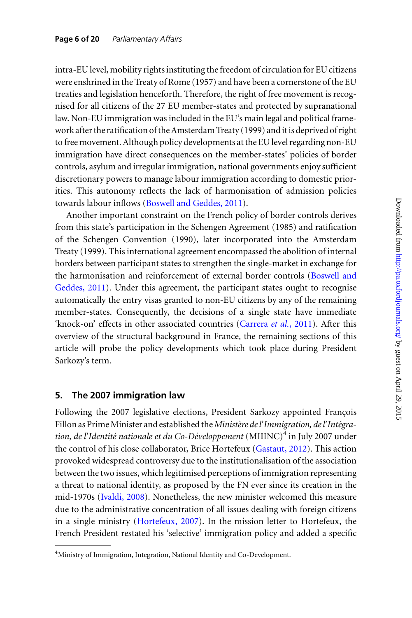intra-EU level, mobility rights instituting the freedom of circulation for EU citizens were enshrined in the Treaty of Rome (1957) and have been a cornerstone of the EU treaties and legislation henceforth. Therefore, the right of free movement is recognised for all citizens of the 27 EU member-states and protected by supranational law. Non-EU immigration was included in the EU's main legal and political framework after the ratification of the Amsterdam Treaty (1999) and it is deprived of right to free movement. Although policy developments at the EU level regarding non-EU immigration have direct consequences on the member-states' policies of border controls, asylum and irregular immigration, national governments enjoy sufficient discretionary powers to manage labour immigration according to domestic priorities. This autonomy reflects the lack of harmonisation of admission policies towards labour inflows ([Boswell and Geddes, 2011\)](#page-17-0).

Another important constraint on the French policy of border controls derives from this state's participation in the Schengen Agreement (1985) and ratification of the Schengen Convention (1990), later incorporated into the Amsterdam Treaty (1999). This international agreement encompassed the abolition of internal borders between participant states to strengthen the single-market in exchange for the harmonisation and reinforcement of external border controls ([Boswell and](#page-17-0) [Geddes, 2011\)](#page-17-0). Under this agreement, the participant states ought to recognise automatically the entry visas granted to non-EU citizens by any of the remaining member-states. Consequently, the decisions of a single state have immediate 'knock-on' effects in other associated countries ([Carrera](#page-17-0) et al., 2011). After this overview of the structural background in France, the remaining sections of this article will probe the policy developments which took place during President Sarkozy's term.

## 5. The 2007 immigration law

Following the 2007 legislative elections, President Sarkozy appointed François Fillon as Prime Minister and established the Ministère de l'Immigration, de l'Intégration, de l'Identité nationale et du Co-Développement (MIIINC)<sup>4</sup> in July 2007 under the control of his close collaborator, Brice Hortefeux ([Gastaut, 2012\)](#page-17-0). This action provoked widespread controversy due to the institutionalisation of the association between the two issues, which legitimised perceptions of immigration representing a threat to national identity, as proposed by the FN ever since its creation in the mid-1970s [\(Ivaldi, 2008](#page-18-0)). Nonetheless, the new minister welcomed this measure due to the administrative concentration of all issues dealing with foreign citizens in a single ministry [\(Hortefeux, 2007](#page-18-0)). In the mission letter to Hortefeux, the French President restated his 'selective' immigration policy and added a specific

<sup>4</sup> Ministry of Immigration, Integration, National Identity and Co-Development.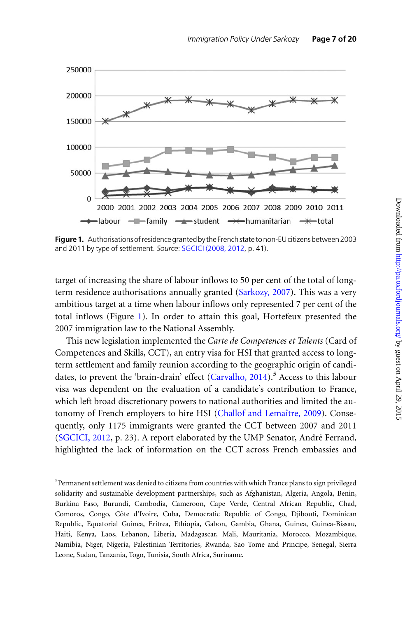<span id="page-6-0"></span>

Figure 1. Authorisations of residence granted by the French state to non-EU citizens between 2003 and 2011 by type of settlement. Source: [SGCICI \(2008, 2012,](#page-19-0) p. 41).

target of increasing the share of labour inflows to 50 per cent of the total of long-term residence authorisations annually granted [\(Sarkozy, 2007\)](#page-19-0). This was a very ambitious target at a time when labour inflows only represented 7 per cent of the total inflows (Figure 1). In order to attain this goal, Hortefeux presented the 2007 immigration law to the National Assembly.

This new legislation implemented the Carte de Competences et Talents (Card of Competences and Skills, CCT), an entry visa for HSI that granted access to longterm settlement and family reunion according to the geographic origin of candi-dates, to prevent the 'brain-drain' effect [\(Carvalho, 2014](#page-17-0)).<sup>5</sup> Access to this labour visa was dependent on the evaluation of a candidate's contribution to France, which left broad discretionary powers to national authorities and limited the autonomy of French employers to hire HSI (Challof and Lemaître, 2009). Consequently, only 1175 immigrants were granted the CCT between 2007 and 2011 ([SGCICI, 2012,](#page-19-0) p. 23). A report elaborated by the UMP Senator, André Ferrand, highlighted the lack of information on the CCT across French embassies and

<sup>&</sup>lt;sup>5</sup>Permanent settlement was denied to citizens from countries with which France plans to sign privileged solidarity and sustainable development partnerships, such as Afghanistan, Algeria, Angola, Benin, Burkina Faso, Burundi, Cambodia, Cameroon, Cape Verde, Central African Republic, Chad, Comoros, Congo, Côte d'Ivoire, Cuba, Democratic Republic of Congo, Djibouti, Dominican Republic, Equatorial Guinea, Eritrea, Ethiopia, Gabon, Gambia, Ghana, Guinea, Guinea-Bissau, Haiti, Kenya, Laos, Lebanon, Liberia, Madagascar, Mali, Mauritania, Morocco, Mozambique, Namibia, Niger, Nigeria, Palestinian Territories, Rwanda, Sao Tome and Principe, Senegal, Sierra Leone, Sudan, Tanzania, Togo, Tunisia, South Africa, Suriname.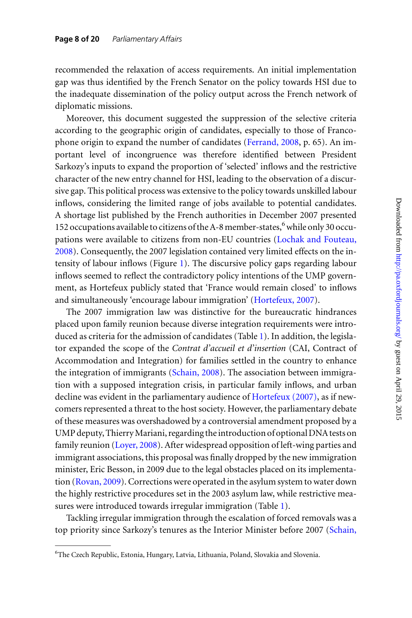recommended the relaxation of access requirements. An initial implementation gap was thus identified by the French Senator on the policy towards HSI due to the inadequate dissemination of the policy output across the French network of diplomatic missions.

Moreover, this document suggested the suppression of the selective criteria according to the geographic origin of candidates, especially to those of Francophone origin to expand the number of candidates [\(Ferrand, 2008,](#page-17-0) p. 65). An important level of incongruence was therefore identified between President Sarkozy's inputs to expand the proportion of 'selected' inflows and the restrictive character of the new entry channel for HSI, leading to the observation of a discursive gap. This political process was extensive to the policy towards unskilled labour inflows, considering the limited range of jobs available to potential candidates. A shortage list published by the French authorities in December 2007 presented 152 occupations available to citizens of the A-8 member-states, <sup>6</sup> while only 30 occupations were available to citizens from non-EU countries ([Lochak and Fouteau,](#page-18-0) [2008](#page-18-0)). Consequently, the 2007 legislation contained very limited effects on the intensity of labour inflows (Figure [1\)](#page-6-0). The discursive policy gaps regarding labour inflows seemed to reflect the contradictory policy intentions of the UMP government, as Hortefeux publicly stated that 'France would remain closed' to inflows and simultaneously 'encourage labour immigration' ([Hortefeux, 2007\)](#page-18-0).

The 2007 immigration law was distinctive for the bureaucratic hindrances placed upon family reunion because diverse integration requirements were introduced as criteria for the admission of candidates (Table [1](#page-8-0)). In addition, the legislator expanded the scope of the Contrat d'accueil et d'insertion (CAI, Contract of Accommodation and Integration) for families settled in the country to enhance the integration of immigrants ([Schain, 2008\)](#page-19-0). The association between immigration with a supposed integration crisis, in particular family inflows, and urban decline was evident in the parliamentary audience of [Hortefeux \(2007\),](#page-18-0) as if newcomers represented a threat to the host society. However, the parliamentary debate of these measures was overshadowed by a controversial amendment proposed by a UMP deputy, Thierry Mariani, regarding the introduction of optional DNAtests on family reunion ([Loyer, 2008\)](#page-18-0). After widespread opposition of left-wing parties and immigrant associations, this proposal was finally dropped by the new immigration minister, Eric Besson, in 2009 due to the legal obstacles placed on its implementa-tion ([Rovan, 2009\)](#page-19-0). Corrections were operated in the asylum system to water down the highly restrictive procedures set in the 2003 asylum law, while restrictive mea-sures were introduced towards irregular immigration (Table [1\)](#page-8-0).

Tackling irregular immigration through the escalation of forced removals was a top priority since Sarkozy's tenures as the Interior Minister before 2007 ([Schain,](#page-19-0)

<sup>6</sup> The Czech Republic, Estonia, Hungary, Latvia, Lithuania, Poland, Slovakia and Slovenia.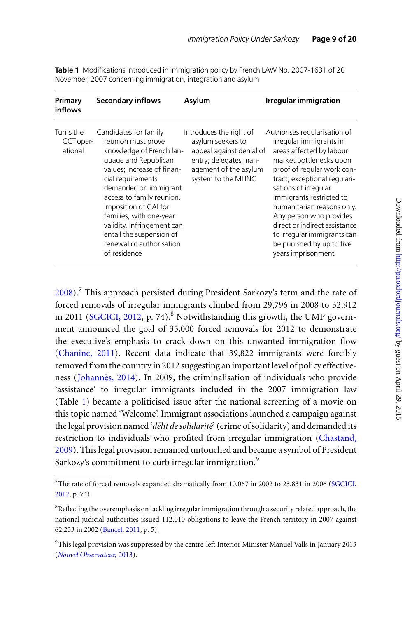| Primary<br>inflows                | <b>Secondary inflows</b>                                                                                                                                                                                                                                                                                                                                           | Asylum                                                                                                                                             | <b>Irregular immigration</b>                                                                                                                                                                                                                                                                                                                                                                                 |
|-----------------------------------|--------------------------------------------------------------------------------------------------------------------------------------------------------------------------------------------------------------------------------------------------------------------------------------------------------------------------------------------------------------------|----------------------------------------------------------------------------------------------------------------------------------------------------|--------------------------------------------------------------------------------------------------------------------------------------------------------------------------------------------------------------------------------------------------------------------------------------------------------------------------------------------------------------------------------------------------------------|
| Turns the<br>CCT oper-<br>ational | Candidates for family<br>reunion must prove<br>knowledge of French lan-<br>guage and Republican<br>values; increase of finan-<br>cial requirements<br>demanded on immigrant<br>access to family reunion.<br>Imposition of CAI for<br>families, with one-year<br>validity. Infringement can<br>entail the suspension of<br>renewal of authorisation<br>of residence | Introduces the right of<br>asylum seekers to<br>appeal against denial of<br>entry; delegates man-<br>agement of the asylum<br>system to the MIIINC | Authorises regularisation of<br>irregular immigrants in<br>areas affected by labour<br>market bottlenecks upon<br>proof of regular work con-<br>tract; exceptional regulari-<br>sations of irregular<br>immigrants restricted to<br>humanitarian reasons only.<br>Any person who provides<br>direct or indirect assistance<br>to irregular immigrants can<br>be punished by up to five<br>years imprisonment |

<span id="page-8-0"></span>Table 1 Modifications introduced in immigration policy by French LAW No. 2007-1631 of 20 November, 2007 concerning immigration, integration and asylum

 $2008$ ).<sup>7</sup> This approach persisted during President Sarkozy's term and the rate of forced removals of irregular immigrants climbed from 29,796 in 2008 to 32,912 in 2011 ([SGCICI, 2012,](#page-19-0) p. 74).<sup>8</sup> Notwithstanding this growth, the UMP government announced the goal of 35,000 forced removals for 2012 to demonstrate the executive's emphasis to crack down on this unwanted immigration flow ([Chanine, 2011](#page-17-0)). Recent data indicate that 39,822 immigrants were forcibly removed from the country in 2012 suggesting an important level of policy effectiveness (Johannès, 2014). In 2009, the criminalisation of individuals who provide 'assistance' to irregular immigrants included in the 2007 immigration law (Table 1) became a politicised issue after the national screening of a movie on this topic named 'Welcome'. Immigrant associations launched a campaign against the legal provision named 'délit de solidarité' (crime of solidarity) and demanded its restriction to individuals who profited from irregular immigration ([Chastand,](#page-17-0) [2009](#page-17-0)). This legal provision remained untouched and became a symbol of President Sarkozy's commitment to curb irregular immigration.<sup>9</sup>

<sup>&</sup>lt;sup>7</sup>The rate of forced removals expanded dramatically from 10,067 in 2002 to 23,831 in 2006 [\(SGCICI,](#page-19-0) [2012](#page-19-0), p. 74).

 ${}^{8}$ Reflecting the overemphasis on tackling irregular immigration through a security related approach, the national judicial authorities issued 112,010 obligations to leave the French territory in 2007 against 62,233 in 2002 [\(Bancel, 2011](#page-16-0), p. 5).

<sup>9</sup> This legal provision was suppressed by the centre-left Interior Minister Manuel Valls in January 2013 ([Nouvel Observateur](#page-19-0), 2013).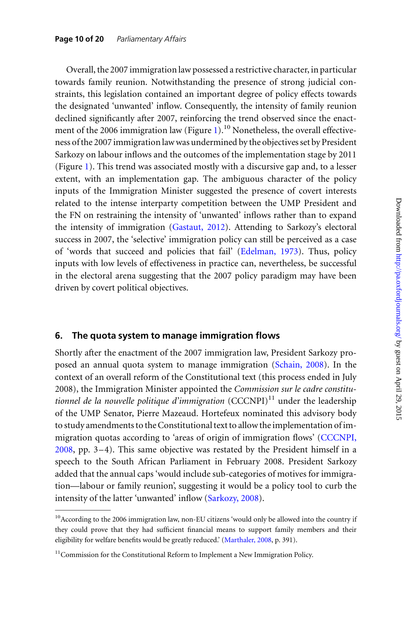Overall, the 2007 immigration law possessed a restrictive character, in particular towards family reunion. Notwithstanding the presence of strong judicial constraints, this legislation contained an important degree of policy effects towards the designated 'unwanted' inflow. Consequently, the intensity of family reunion declined significantly after 2007, reinforcing the trend observed since the enact-ment of the 2006 immigration law (Figure [1](#page-6-0)).<sup>10</sup> Nonetheless, the overall effectiveness of the 2007 immigration law was undermined by the objectives set by President Sarkozy on labour inflows and the outcomes of the implementation stage by 2011 (Figure [1\)](#page-6-0). This trend was associated mostly with a discursive gap and, to a lesser extent, with an implementation gap. The ambiguous character of the policy inputs of the Immigration Minister suggested the presence of covert interests related to the intense interparty competition between the UMP President and the FN on restraining the intensity of 'unwanted' inflows rather than to expand the intensity of immigration [\(Gastaut, 2012\)](#page-17-0). Attending to Sarkozy's electoral success in 2007, the 'selective' immigration policy can still be perceived as a case of 'words that succeed and policies that fail' ([Edelman, 1973](#page-17-0)). Thus, policy inputs with low levels of effectiveness in practice can, nevertheless, be successful in the electoral arena suggesting that the 2007 policy paradigm may have been driven by covert political objectives.

## 6. The quota system to manage immigration flows

Shortly after the enactment of the 2007 immigration law, President Sarkozy proposed an annual quota system to manage immigration ([Schain, 2008\)](#page-19-0). In the context of an overall reform of the Constitutional text (this process ended in July 2008), the Immigration Minister appointed the Commission sur le cadre constitutionnel de la nouvelle politique d'immigration  $(CCCNPI)^{11}$  under the leadership of the UMP Senator, Pierre Mazeaud. Hortefeux nominated this advisory body to study amendments to the Constitutional text to allow the implementation of immigration quotas according to 'areas of origin of immigration flows' ([CCCNPI,](#page-17-0) [2008](#page-17-0), pp. 3–4). This same objective was restated by the President himself in a speech to the South African Parliament in February 2008. President Sarkozy added that the annual caps 'would include sub-categories of motives for immigration—labour or family reunion', suggesting it would be a policy tool to curb the intensity of the latter 'unwanted' inflow [\(Sarkozy, 2008](#page-19-0)).

<sup>&</sup>lt;sup>10</sup> According to the 2006 immigration law, non-EU citizens 'would only be allowed into the country if they could prove that they had sufficient financial means to support family members and their eligibility for welfare benefits would be greatly reduced.' [\(Marthaler, 2008,](#page-18-0) p. 391).

 $11$ Commission for the Constitutional Reform to Implement a New Immigration Policy.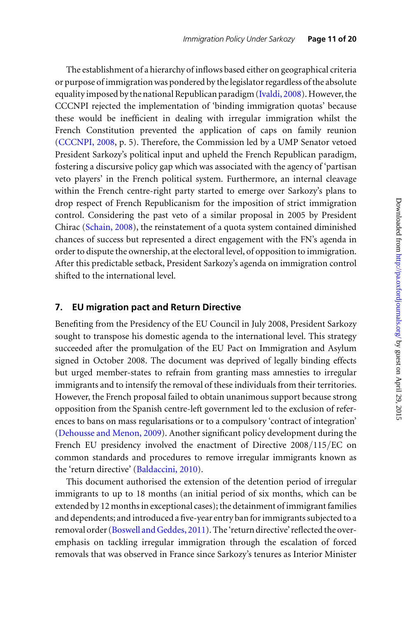The establishment of a hierarchy of inflows based either on geographical criteria or purpose of immigration was pondered by the legislator regardless of the absolute equality imposed by the national Republican paradigm [\(Ivaldi, 2008\)](#page-18-0). However, the CCCNPI rejected the implementation of 'binding immigration quotas' because these would be inefficient in dealing with irregular immigration whilst the French Constitution prevented the application of caps on family reunion ([CCCNPI, 2008](#page-17-0), p. 5). Therefore, the Commission led by a UMP Senator vetoed President Sarkozy's political input and upheld the French Republican paradigm, fostering a discursive policy gap which was associated with the agency of 'partisan veto players' in the French political system. Furthermore, an internal cleavage within the French centre-right party started to emerge over Sarkozy's plans to drop respect of French Republicanism for the imposition of strict immigration control. Considering the past veto of a similar proposal in 2005 by President Chirac ([Schain, 2008\)](#page-19-0), the reinstatement of a quota system contained diminished chances of success but represented a direct engagement with the FN's agenda in order to dispute the ownership, at the electoral level, of opposition to immigration. After this predictable setback, President Sarkozy's agenda on immigration control shifted to the international level.

#### 7. EU migration pact and Return Directive

Benefiting from the Presidency of the EU Council in July 2008, President Sarkozy sought to transpose his domestic agenda to the international level. This strategy succeeded after the promulgation of the EU Pact on Immigration and Asylum signed in October 2008. The document was deprived of legally binding effects but urged member-states to refrain from granting mass amnesties to irregular immigrants and to intensify the removal of these individuals from their territories. However, the French proposal failed to obtain unanimous support because strong opposition from the Spanish centre-left government led to the exclusion of references to bans on mass regularisations or to a compulsory 'contract of integration' ([Dehousse and Menon, 2009](#page-17-0)). Another significant policy development during the French EU presidency involved the enactment of Directive 2008/115/EC on common standards and procedures to remove irregular immigrants known as the 'return directive' ([Baldaccini, 2010](#page-16-0)).

This document authorised the extension of the detention period of irregular immigrants to up to 18 months (an initial period of six months, which can be extended by 12 months in exceptional cases); the detainment of immigrant families and dependents; and introduced a five-year entry ban for immigrants subjected to a removal order [\(Boswell and Geddes, 2011](#page-17-0)). The 'return directive' reflected the overemphasis on tackling irregular immigration through the escalation of forced removals that was observed in France since Sarkozy's tenures as Interior Minister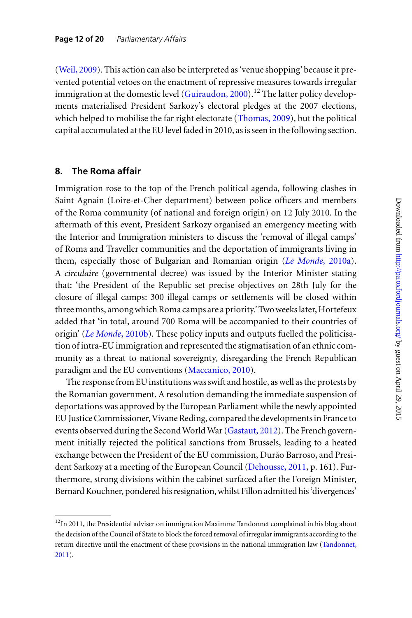([Weil, 2009](#page-19-0)). This action can also be interpreted as 'venue shopping' because it prevented potential vetoes on the enactment of repressive measures towards irregular immigration at the domestic level [\(Guiraudon, 2000](#page-17-0)).<sup>12</sup> The latter policy developments materialised President Sarkozy's electoral pledges at the 2007 elections, which helped to mobilise the far right electorate [\(Thomas, 2009\)](#page-19-0), but the political capital accumulated at the EU level faded in 2010, as is seen in the following section.

## 8. The Roma affair

Immigration rose to the top of the French political agenda, following clashes in Saint Agnain (Loire-et-Cher department) between police officers and members of the Roma community (of national and foreign origin) on 12 July 2010. In the aftermath of this event, President Sarkozy organised an emergency meeting with the Interior and Immigration ministers to discuss the 'removal of illegal camps' of Roma and Traveller communities and the deportation of immigrants living in them, especially those of Bulgarian and Romanian origin ([Le Monde](#page-18-0), 2010a). A circulaire (governmental decree) was issued by the Interior Minister stating that: 'the President of the Republic set precise objectives on 28th July for the closure of illegal camps: 300 illegal camps or settlements will be closed within three months, among which Roma camps are a priority.' Two weeks later, Hortefeux added that 'in total, around 700 Roma will be accompanied to their countries of origin' ([Le Monde](#page-18-0), 2010b). These policy inputs and outputs fuelled the politicisation of intra-EU immigration and represented the stigmatisation of an ethnic community as a threat to national sovereignty, disregarding the French Republican paradigm and the EU conventions ([Maccanico, 2010\)](#page-18-0).

The response from EU institutions was swift and hostile, as well as the protests by the Romanian government. A resolution demanding the immediate suspension of deportations was approved by the European Parliament while the newly appointed EU Justice Commissioner, Vivane Reding, compared the developments in France to events observed during the Second World War [\(Gastaut, 2012](#page-17-0)). The French government initially rejected the political sanctions from Brussels, leading to a heated exchange between the President of the EU commission, Durão Barroso, and President Sarkozy at a meeting of the European Council ([Dehousse, 2011,](#page-17-0) p. 161). Furthermore, strong divisions within the cabinet surfaced after the Foreign Minister, Bernard Kouchner, pondered his resignation, whilst Fillon admitted his 'divergences'

<sup>&</sup>lt;sup>12</sup>In 2011, the Presidential adviser on immigration Maximme Tandonnet complained in his blog about the decision of the Council of State to block the forced removal of irregular immigrants according to the return directive until the enactment of these provisions in the national immigration law [\(Tandonnet,](#page-19-0) [2011](#page-19-0)).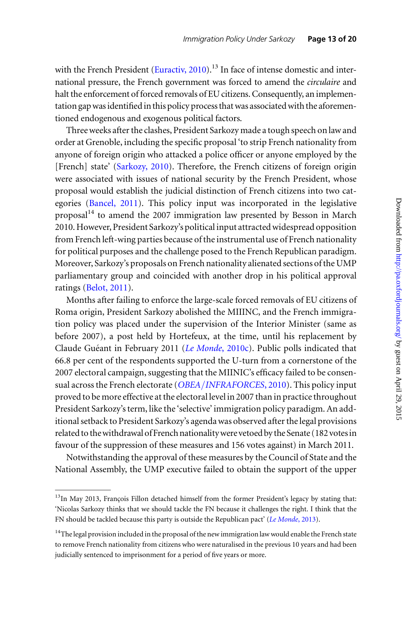with the French President ([Euractiv, 2010](#page-17-0)).<sup>13</sup> In face of intense domestic and international pressure, the French government was forced to amend the circulaire and halt the enforcement of forced removals of EU citizens. Consequently, an implementation gap was identified in this policy process that was associated with the aforementioned endogenous and exogenous political factors.

Three weeks after the clashes, President Sarkozy made a tough speech on law and order at Grenoble, including the specific proposal 'to strip French nationality from anyone of foreign origin who attacked a police officer or anyone employed by the [French] state' [\(Sarkozy, 2010](#page-19-0)). Therefore, the French citizens of foreign origin were associated with issues of national security by the French President, whose proposal would establish the judicial distinction of French citizens into two categories ([Bancel, 2011](#page-16-0)). This policy input was incorporated in the legislative proposal $14$  to amend the 2007 immigration law presented by Besson in March 2010. However, President Sarkozy's political input attracted widespread opposition from French left-wing parties because of the instrumental use of French nationality for political purposes and the challenge posed to the French Republican paradigm. Moreover, Sarkozy's proposals on French nationality alienated sections of the UMP parliamentary group and coincided with another drop in his political approval ratings ([Belot, 2011](#page-16-0)).

Months after failing to enforce the large-scale forced removals of EU citizens of Roma origin, President Sarkozy abolished the MIIINC, and the French immigration policy was placed under the supervision of the Interior Minister (same as before 2007), a post held by Hortefeux, at the time, until his replacement by Claude Guéant in February 2011 ([Le Monde](#page-18-0), 2010c). Public polls indicated that 66.8 per cent of the respondents supported the U-turn from a cornerstone of the 2007 electoral campaign, suggesting that the MIINIC's efficacy failed to be consen-sual across the French electorate (OBEA/[INFRAFORCES](#page-19-0), 2010). This policy input proved to be more effective at the electoral level in 2007 than in practice throughout President Sarkozy's term, like the 'selective' immigration policy paradigm. An additional setback to President Sarkozy's agenda was observed after the legal provisions related to thewithdrawal ofFrench nationality were vetoed by the Senate (182votesin favour of the suppression of these measures and 156 votes against) in March 2011.

Notwithstanding the approval of these measures by the Council of State and the National Assembly, the UMP executive failed to obtain the support of the upper

<sup>&</sup>lt;sup>13</sup>In May 2013, François Fillon detached himself from the former President's legacy by stating that: 'Nicolas Sarkozy thinks that we should tackle the FN because it challenges the right. I think that the FN should be tackled because this party is outside the Republican pact' ([Le Monde](#page-18-0), 2013).

<sup>&</sup>lt;sup>14</sup>The legal provision included in the proposal of the new immigration law would enable the French state to remove French nationality from citizens who were naturalised in the previous 10 years and had been judicially sentenced to imprisonment for a period of five years or more.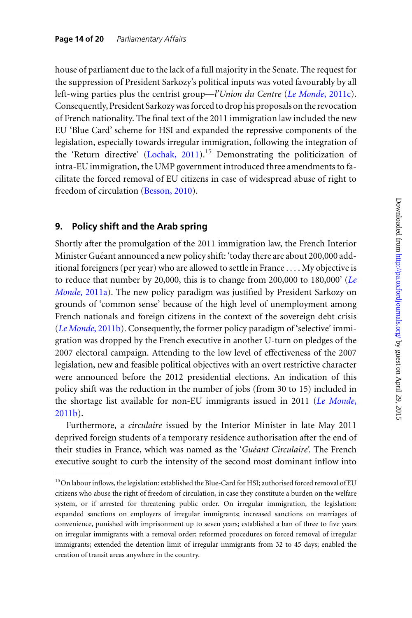house of parliament due to the lack of a full majority in the Senate. The request for the suppression of President Sarkozy's political inputs was voted favourably by all left-wing parties plus the centrist group—l'Union du Centre ([Le Monde](#page-18-0), 2011c). Consequently, President Sarkozy was forced to drop his proposals on the revocation of French nationality. The final text of the 2011 immigration law included the new EU 'Blue Card' scheme for HSI and expanded the repressive components of the legislation, especially towards irregular immigration, following the integration of the 'Return directive' [\(Lochak, 2011](#page-18-0)).<sup>15</sup> Demonstrating the politicization of intra-EU immigration, the UMP government introduced three amendments to facilitate the forced removal of EU citizens in case of widespread abuse of right to freedom of circulation ([Besson, 2010](#page-16-0)).

# 9. Policy shift and the Arab spring

Shortly after the promulgation of the 2011 immigration law, the French Interior Minister Guéant announced a new policy shift: 'today there are about 200,000 additional foreigners (per year) who are allowed to settle in France ... . My objective is to reduce that number by 20,000, this is to change from 200,000 to 180,000' ( $Le$ Monde[, 2011a](#page-18-0)). The new policy paradigm was justified by President Sarkozy on grounds of 'common sense' because of the high level of unemployment among French nationals and foreign citizens in the context of the sovereign debt crisis ([Le Monde](#page-18-0), 2011b). Consequently, the former policy paradigm of 'selective' immigration was dropped by the French executive in another U-turn on pledges of the 2007 electoral campaign. Attending to the low level of effectiveness of the 2007 legislation, new and feasible political objectives with an overt restrictive character were announced before the 2012 presidential elections. An indication of this policy shift was the reduction in the number of jobs (from 30 to 15) included in the shortage list available for non-EU immigrants issued in 2011 ([Le Monde](#page-18-0), [2011b](#page-18-0)).

Furthermore, a circulaire issued by the Interior Minister in late May 2011 deprived foreign students of a temporary residence authorisation after the end of their studies in France, which was named as the 'Guéant Circulaire'. The French executive sought to curb the intensity of the second most dominant inflow into

<sup>&</sup>lt;sup>15</sup>On labour inflows, the legislation: established the Blue-Card for HSI; authorised forced removal of EU citizens who abuse the right of freedom of circulation, in case they constitute a burden on the welfare system, or if arrested for threatening public order. On irregular immigration, the legislation: expanded sanctions on employers of irregular immigrants; increased sanctions on marriages of convenience, punished with imprisonment up to seven years; established a ban of three to five years on irregular immigrants with a removal order; reformed procedures on forced removal of irregular immigrants; extended the detention limit of irregular immigrants from 32 to 45 days; enabled the creation of transit areas anywhere in the country.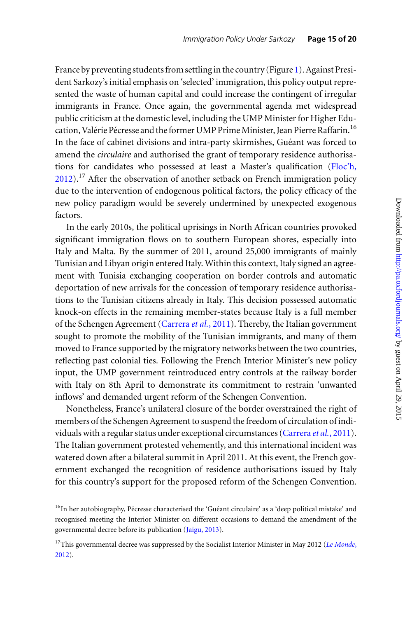France by preventing students from settling in the country (Figure [1\)](#page-6-0). Against President Sarkozy's initial emphasis on 'selected' immigration, this policy output represented the waste of human capital and could increase the contingent of irregular immigrants in France. Once again, the governmental agenda met widespread public criticism at the domestic level, including the UMP Minister for Higher Education, Valérie Pécresse and the former UMP Prime Minister, Jean Pierre Raffarin.<sup>16</sup> In the face of cabinet divisions and intra-party skirmishes, Guéant was forced to amend the *circulaire* and authorised the grant of temporary residence authorisations for candidates who possessed at least a Master's qualification ([Floc'h,](#page-17-0) [2012](#page-17-0)).17 After the observation of another setback on French immigration policy due to the intervention of endogenous political factors, the policy efficacy of the new policy paradigm would be severely undermined by unexpected exogenous factors.

In the early 2010s, the political uprisings in North African countries provoked significant immigration flows on to southern European shores, especially into Italy and Malta. By the summer of 2011, around 25,000 immigrants of mainly Tunisian and Libyan origin entered Italy. Within this context, Italy signed an agreement with Tunisia exchanging cooperation on border controls and automatic deportation of new arrivals for the concession of temporary residence authorisations to the Tunisian citizens already in Italy. This decision possessed automatic knock-on effects in the remaining member-states because Italy is a full member of the Schengen Agreement [\(Carrera](#page-17-0) et al., 2011). Thereby, the Italian government sought to promote the mobility of the Tunisian immigrants, and many of them moved to France supported by the migratory networks between the two countries, reflecting past colonial ties. Following the French Interior Minister's new policy input, the UMP government reintroduced entry controls at the railway border with Italy on 8th April to demonstrate its commitment to restrain 'unwanted inflows' and demanded urgent reform of the Schengen Convention.

Nonetheless, France's unilateral closure of the border overstrained the right of members of the Schengen Agreement to suspend the freedom of circulation of indi-viduals with a regular status under exceptional circumstances ([Carrera](#page-17-0) et al., 2011). The Italian government protested vehemently, and this international incident was watered down after a bilateral summit in April 2011. At this event, the French government exchanged the recognition of residence authorisations issued by Italy for this country's support for the proposed reform of the Schengen Convention.

<sup>&</sup>lt;sup>16</sup>In her autobiography, Pécresse characterised the 'Guéant circulaire' as a 'deep political mistake' and recognised meeting the Interior Minister on different occasions to demand the amendment of the governmental decree before its publication ([Jaigu, 2013](#page-18-0)).

<sup>&</sup>lt;sup>17</sup>This governmental decree was suppressed by the Socialist Interior Minister in May 2012 ([Le Monde](#page-18-0), [2012](#page-18-0)).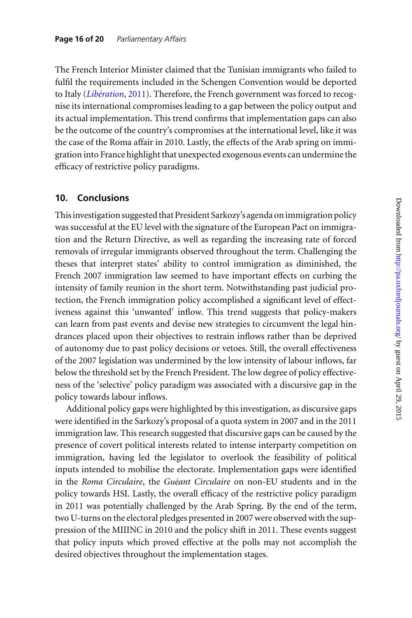The French Interior Minister claimed that the Tunisian immigrants who failed to fulfil the requirements included in the Schengen Convention would be deported to Italy (Libération, 2011). Therefore, the French government was forced to recognise its international compromises leading to a gap between the policy output and its actual implementation. This trend confirms that implementation gaps can also be the outcome of the country's compromises at the international level, like it was the case of the Roma affair in 2010. Lastly, the effects of the Arab spring on immigration into France highlight that unexpected exogenous events can undermine the efficacy of restrictive policy paradigms.

# 10. Conclusions

This investigation suggested that President Sarkozy's agenda on immigration policy was successful at the EU level with the signature of the European Pact on immigration and the Return Directive, as well as regarding the increasing rate of forced removals of irregular immigrants observed throughout the term. Challenging the theses that interpret states' ability to control immigration as diminished, the French 2007 immigration law seemed to have important effects on curbing the intensity of family reunion in the short term. Notwithstanding past judicial protection, the French immigration policy accomplished a significant level of effectiveness against this 'unwanted' inflow. This trend suggests that policy-makers can learn from past events and devise new strategies to circumvent the legal hindrances placed upon their objectives to restrain inflows rather than be deprived of autonomy due to past policy decisions or vetoes. Still, the overall effectiveness of the 2007 legislation was undermined by the low intensity of labour inflows, far below the threshold set by the French President. The low degree of policy effectiveness of the 'selective' policy paradigm was associated with a discursive gap in the policy towards labour inflows.

Additional policy gaps were highlighted by this investigation, as discursive gaps were identified in the Sarkozy's proposal of a quota system in 2007 and in the 2011 immigration law. This research suggested that discursive gaps can be caused by the presence of covert political interests related to intense interparty competition on immigration, having led the legislator to overlook the feasibility of political inputs intended to mobilise the electorate. Implementation gaps were identified in the Roma Circulaire, the Guéant Circulaire on non-EU students and in the policy towards HSI. Lastly, the overall efficacy of the restrictive policy paradigm in 2011 was potentially challenged by the Arab Spring. By the end of the term, two U-turns on the electoral pledges presented in 2007 were observed with the suppression of the MIIINC in 2010 and the policy shift in 2011. These events suggest that policy inputs which proved effective at the polls may not accomplish the desired objectives throughout the implementation stages.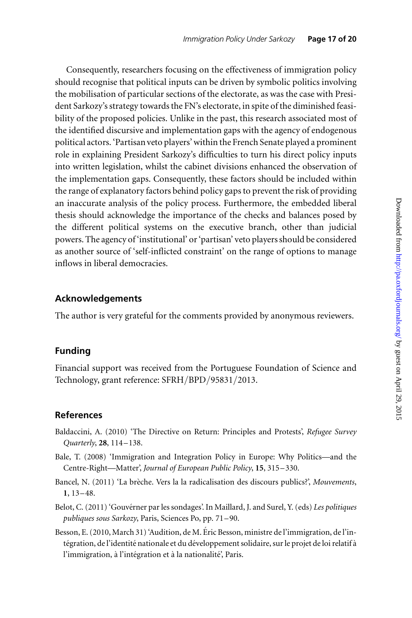<span id="page-16-0"></span>Consequently, researchers focusing on the effectiveness of immigration policy should recognise that political inputs can be driven by symbolic politics involving the mobilisation of particular sections of the electorate, as was the case with President Sarkozy's strategy towards the FN's electorate, in spite of the diminished feasibility of the proposed policies. Unlike in the past, this research associated most of the identified discursive and implementation gaps with the agency of endogenous political actors. 'Partisan veto players' within the French Senate played a prominent role in explaining President Sarkozy's difficulties to turn his direct policy inputs into written legislation, whilst the cabinet divisions enhanced the observation of the implementation gaps. Consequently, these factors should be included within the range of explanatory factors behind policy gaps to prevent the risk of providing an inaccurate analysis of the policy process. Furthermore, the embedded liberal thesis should acknowledge the importance of the checks and balances posed by the different political systems on the executive branch, other than judicial powers. The agency of 'institutional' or 'partisan' veto players should be considered as another source of 'self-inflicted constraint' on the range of options to manage inflows in liberal democracies.

#### Acknowledgements

The author is very grateful for the comments provided by anonymous reviewers.

#### Funding

Financial support was received from the Portuguese Foundation of Science and Technology, grant reference: SFRH/BPD/95831/2013.

## References

- Baldaccini, A. (2010) 'The Directive on Return: Principles and Protests', Refugee Survey Quarterly, 28, 114–138.
- Bale, T. (2008) 'Immigration and Integration Policy in Europe: Why Politics—and the Centre-Right—Matter', Journal of European Public Policy, 15, 315–330.
- Bancel, N. (2011) 'La brèche. Vers la la radicalisation des discours publics?', Mouvements, 1, 13–48.
- Belot, C. (2011) 'Gouvérner par les sondages'. In Maillard, J. and Surel, Y. (eds) Les politiques publiques sous Sarkozy, Paris, Sciences Po, pp. 71–90.
- Besson, E. (2010, March 31) 'Audition, de M. Éric Besson, ministre de l'immigration, de l'intégration, de l'identité nationale et du développement solidaire, sur le projet de loi relatif à l'immigration, à l'intégration et à la nationalité', Paris.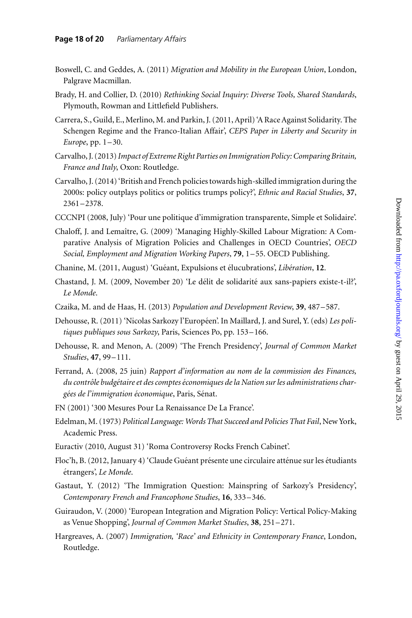- <span id="page-17-0"></span>Boswell, C. and Geddes, A. (2011) Migration and Mobility in the European Union, London, Palgrave Macmillan.
- Brady, H. and Collier, D. (2010) Rethinking Social Inquiry: Diverse Tools, Shared Standards, Plymouth, Rowman and Littlefield Publishers.
- Carrera, S., Guild, E., Merlino, M. and Parkin, J. (2011, April) 'A Race Against Solidarity. The Schengen Regime and the Franco-Italian Affair', CEPS Paper in Liberty and Security in Europe, pp.  $1-30$ .
- Carvalho, J. (2013)Impact of Extreme Right Parties on Immigration Policy: Comparing Britain, France and Italy, Oxon: Routledge.
- Carvalho, J. (2014) 'British and French policies towards high-skilled immigration during the 2000s: policy outplays politics or politics trumps policy?', Ethnic and Racial Studies, 37, 2361–2378.
- CCCNPI (2008, July) 'Pour une politique d'immigration transparente, Simple et Solidaire'.
- Chaloff, J. and Lemaître, G. (2009) 'Managing Highly-Skilled Labour Migration: A Comparative Analysis of Migration Policies and Challenges in OECD Countries', OECD Social, Employment and Migration Working Papers, 79, 1–55. OECD Publishing.
- Chanine, M. (2011, August) 'Guéant, Expulsions et élucubrations', Libération, 12.
- Chastand, J. M. (2009, November 20) 'Le délit de solidarité aux sans-papiers existe-t-il?', Le Monde.
- Czaika, M. and de Haas, H. (2013) Population and Development Review, 39, 487–587.
- Dehousse, R. (2011) 'Nicolas Sarkozy l'Européen'. In Maillard, J. and Surel, Y. (eds) Les politiques publiques sous Sarkozy, Paris, Sciences Po, pp. 153–166.
- Dehousse, R. and Menon, A. (2009) 'The French Presidency', Journal of Common Market Studies, 47, 99–111.
- Ferrand, A. (2008, 25 juin) Rapport d'information au nom de la commission des Finances, du contrôle budgétaire et des comptes économiques de la Nation sur les administrations chargées de l'immigration économique, Paris, Sénat.
- FN (2001) '300 Mesures Pour La Renaissance De La France'.
- Edelman, M. (1973) Political Language: Words That Succeed and Policies That Fail, New York, Academic Press.
- Euractiv (2010, August 31) 'Roma Controversy Rocks French Cabinet'.
- Floc'h, B. (2012, January 4) 'Claude Guéant présente une circulaire atténue sur les étudiants étrangers', Le Monde.
- Gastaut, Y. (2012) 'The Immigration Question: Mainspring of Sarkozy's Presidency', Contemporary French and Francophone Studies, 16, 333–346.
- Guiraudon, V. (2000) 'European Integration and Migration Policy: Vertical Policy-Making as Venue Shopping', Journal of Common Market Studies, 38, 251–271.
- Hargreaves, A. (2007) Immigration, 'Race' and Ethnicity in Contemporary France, London, Routledge.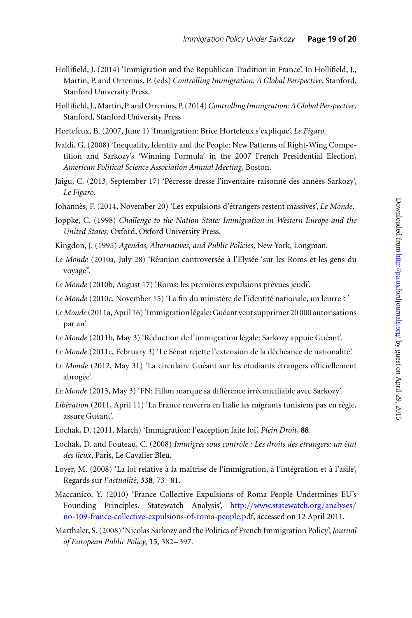- <span id="page-18-0"></span>Hollifield, J. (2014) 'Immigration and the Republican Tradition in France'. In Hollifield, J., Martin, P. and Orrenius, P. (eds) Controlling Immigration: A Global Perspective, Stanford, Stanford University Press.
- Hollifield, J., Martin, P. and Orrenius, P. (2014) Controlling Immigration: A Global Perspective, Stanford, Stanford University Press
- Hortefeux, B. (2007, June 1) 'Immigration: Brice Hortefeux s'explique', Le Figaro.
- Ivaldi, G. (2008) 'Inequality, Identity and the People: New Patterns of Right-Wing Competition and Sarkozy's 'Winning Formula' in the 2007 French Presidential Election', American Political Science Association Annual Meeting, Boston.
- Jaigu, C. (2013, September 17) 'Pécresse dresse l'inventaire raisonné des années Sarkozy', Le Figaro.
- Johannès, F. (2014, November 20) 'Les expulsions d'étrangers restent massives', Le Monde.
- Joppke, C. (1998) Challenge to the Nation-State: Immigration in Western Europe and the United States, Oxford, Oxford University Press.
- Kingdon, J. (1995) Agendas, Alternatives, and Public Policies, New York, Longman.
- Le Monde (2010a, July 28) 'Réunion controversée à l'Elysée 'sur les Roms et les gens du voyage''.
- Le Monde (2010b, August 17) 'Roms: les premières expulsions prévues jeudi'.
- Le Monde (2010c, November 15) 'La fin du ministère de l'identité nationale, un leurre ? '
- Le Monde (2011a, April 16) 'Immigration légale: Guéant veut supprimer 20 000 autorisations par an'.
- Le Monde (2011b, May 3) 'Réduction de l'immigration légale: Sarkozy appuie Guéant'.
- Le Monde (2011c, February 3) 'Le Sénat rejette l'extension de la déchéance de nationalité'.
- Le Monde (2012, May 31) 'La circulaire Guéant sur les étudiants étrangers officiellement abrogée'.
- Le Monde (2013, May 3) 'FN: Fillon marque sa différence irréconciliable avec Sarkozy'.
- Libération (2011, April 11) 'La France renverra en Italie les migrants tunisiens pas en règle, assure Guéant'.
- Lochak, D. (2011, March) 'Immigration: l'exception faite loi', Plein Droit, 88.
- Lochak, D. and Fouteau, C. (2008) Immigrés sous contrôle : Les droits des étrangers: un état des lieux, Paris, Le Cavalier Bleu.
- Loyer, M. (2008) 'La loi relative à la maîtrise de l'immigration, à l'intégration et à l'asile', Regards sur l'actualité, 338, 73-81.
- Maccanico, Y. (2010) 'France Collective Expulsions of Roma People Undermines EU's Founding Principles. Statewatch Analysis', [http:](http://www.statewatch.org/analyses/no-109-france-collective-expulsions-of-roma-people.pdf)//[www.statewatch.org](http://www.statewatch.org/analyses/no-109-france-collective-expulsions-of-roma-people.pdf)/analyses/ [no-109-france-collective-expulsions-of-roma-people.pdf](http://www.statewatch.org/analyses/no-109-france-collective-expulsions-of-roma-people.pdf), accessed on 12 April 2011.
- Marthaler, S. (2008) 'Nicolas Sarkozy and the Politics of French Immigration Policy', Journal of European Public Policy, 15, 382–397.